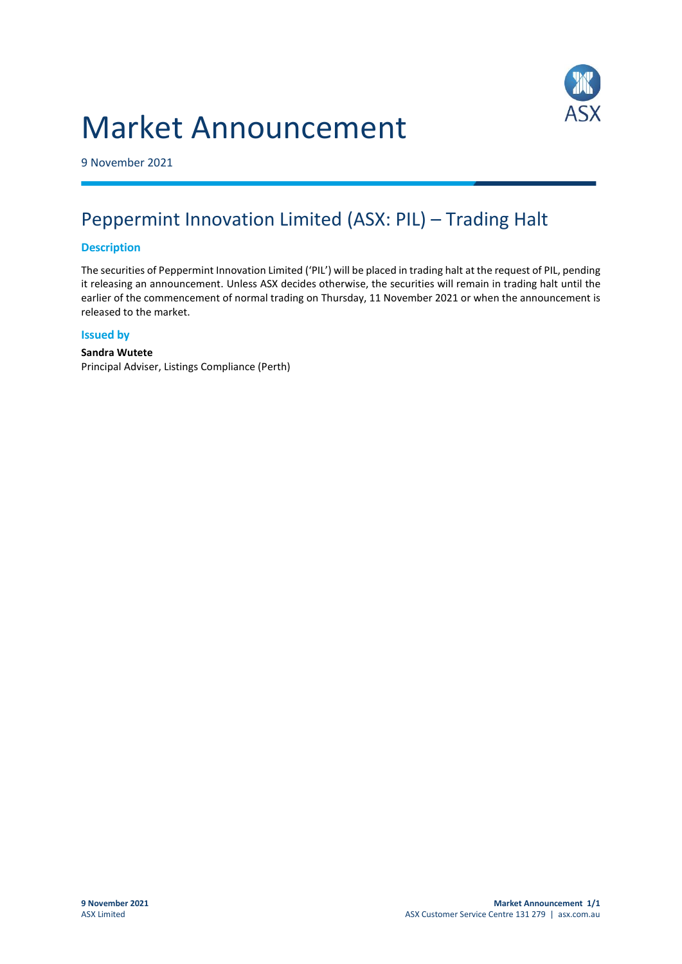# Market Announcement



9 November 2021

## Peppermint Innovation Limited (ASX: PIL) – Trading Halt

#### **Description**

The securities of Peppermint Innovation Limited ('PIL') will be placed in trading halt at the request of PIL, pending it releasing an announcement. Unless ASX decides otherwise, the securities will remain in trading halt until the earlier of the commencement of normal trading on Thursday, 11 November 2021 or when the announcement is released to the market.

#### **Issued by**

#### **Sandra Wutete** Principal Adviser, Listings Compliance (Perth)